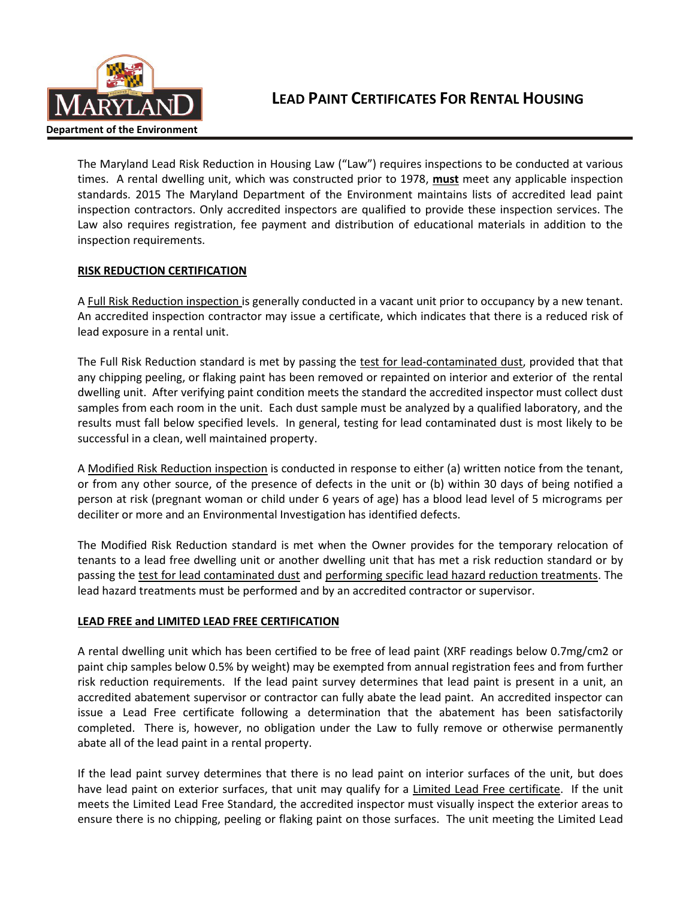

**LEAD PAINT CERTIFICATES FOR RENTAL HOUSING**

The Maryland Lead Risk Reduction in Housing Law ("Law") requires inspections to be conducted at various times. A rental dwelling unit, which was constructed prior to 1978, **must** meet any applicable inspection standards. 2015 The Maryland Department of the Environment maintains lists of accredited lead paint inspection contractors. Only accredited inspectors are qualified to provide these inspection services. The Law also requires registration, fee payment and distribution of educational materials in addition to the inspection requirements.

## **RISK REDUCTION CERTIFICATION**

A Full Risk Reduction inspection is generally conducted in a vacant unit prior to occupancy by a new tenant. An accredited inspection contractor may issue a certificate, which indicates that there is a reduced risk of lead exposure in a rental unit.

The Full Risk Reduction standard is met by passing the test for lead-contaminated dust, provided that that any chipping peeling, or flaking paint has been removed or repainted on interior and exterior of the rental dwelling unit. After verifying paint condition meets the standard the accredited inspector must collect dust samples from each room in the unit. Each dust sample must be analyzed by a qualified laboratory, and the results must fall below specified levels. In general, testing for lead contaminated dust is most likely to be successful in a clean, well maintained property.

A Modified Risk Reduction inspection is conducted in response to either (a) written notice from the tenant, or from any other source, of the presence of defects in the unit or (b) within 30 days of being notified a person at risk (pregnant woman or child under 6 years of age) has a blood lead level of 5 micrograms per deciliter or more and an Environmental Investigation has identified defects.

The Modified Risk Reduction standard is met when the Owner provides for the temporary relocation of tenants to a lead free dwelling unit or another dwelling unit that has met a risk reduction standard or by passing the test for lead contaminated dust and performing specific lead hazard reduction treatments. The lead hazard treatments must be performed and by an accredited contractor or supervisor.

## **LEAD FREE and LIMITED LEAD FREE CERTIFICATION**

A rental dwelling unit which has been certified to be free of lead paint (XRF readings below 0.7mg/cm2 or paint chip samples below 0.5% by weight) may be exempted from annual registration fees and from further risk reduction requirements. If the lead paint survey determines that lead paint is present in a unit, an accredited abatement supervisor or contractor can fully abate the lead paint. An accredited inspector can issue a Lead Free certificate following a determination that the abatement has been satisfactorily completed. There is, however, no obligation under the Law to fully remove or otherwise permanently abate all of the lead paint in a rental property.

If the lead paint survey determines that there is no lead paint on interior surfaces of the unit, but does have lead paint on exterior surfaces, that unit may qualify for a Limited Lead Free certificate. If the unit meets the Limited Lead Free Standard, the accredited inspector must visually inspect the exterior areas to ensure there is no chipping, peeling or flaking paint on those surfaces. The unit meeting the Limited Lead